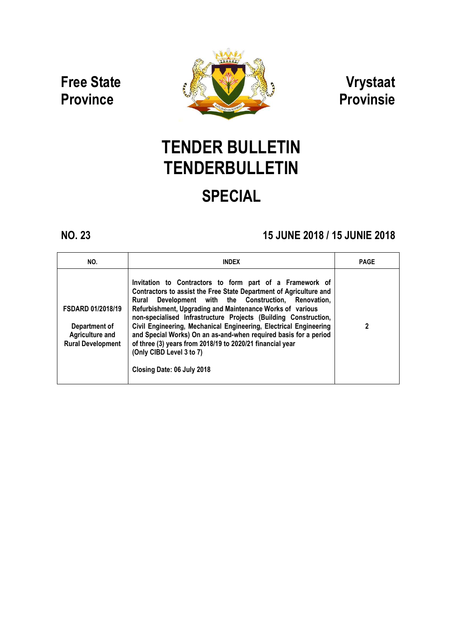Free State **Province** 



Vrystaat Provinsie

# TENDER BULLETIN **TENDERBULLETIN** SPECIAL

## NO. 23 15 JUNE 2018 / 15 JUNE 2018 / 15 JUNIE 2018

| NO.                                                                                             | <b>INDEX</b>                                                                                                                                                                                                                                                                                                                                                                                                                                                                                                                                                                              | <b>PAGE</b> |
|-------------------------------------------------------------------------------------------------|-------------------------------------------------------------------------------------------------------------------------------------------------------------------------------------------------------------------------------------------------------------------------------------------------------------------------------------------------------------------------------------------------------------------------------------------------------------------------------------------------------------------------------------------------------------------------------------------|-------------|
| <b>FSDARD 01/2018/19</b><br>Department of<br><b>Agriculture and</b><br><b>Rural Development</b> | Invitation to Contractors to form part of a Framework of<br>Contractors to assist the Free State Department of Agriculture and<br>Development with the Construction, Renovation,<br>Rural<br>Refurbishment, Upgrading and Maintenance Works of various<br>non-specialised Infrastructure Projects (Building Construction,<br>Civil Engineering, Mechanical Engineering, Electrical Engineering<br>and Special Works) On an as-and-when required basis for a period<br>of three (3) years from 2018/19 to 2020/21 financial year<br>(Only CIBD Level 3 to 7)<br>Closing Date: 06 July 2018 | 2           |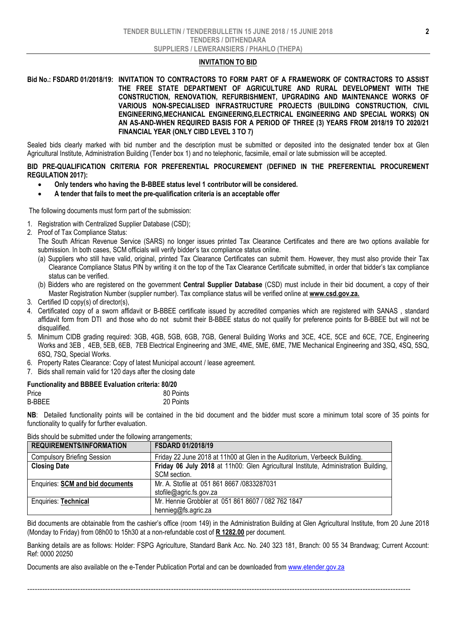#### INVITATION TO BID

### Bid No.: FSDARD 01/2018/19: INVITATION TO CONTRACTORS TO FORM PART OF A FRAMEWORK OF CONTRACTORS TO ASSIST THE FREE STATE DEPARTMENT OF AGRICULTURE AND RURAL DEVELOPMENT WITH THE CONSTRUCTION, RENOVATION, REFURBISHMENT, UPGRADING AND MAINTENANCE WORKS OF VARIOUS NON-SPECIALISED INFRASTRUCTURE PROJECTS (BUILDING CONSTRUCTION, CIVIL ENGINEERING,MECHANICAL ENGINEERING,ELECTRICAL ENGINEERING AND SPECIAL WORKS) ON AN AS-AND-WHEN REQUIRED BASIS FOR A PERIOD OF THREE (3) YEARS FROM 2018/19 TO 2020/21 FINANCIAL YEAR (ONLY CIBD LEVEL 3 TO 7)

Sealed bids clearly marked with bid number and the description must be submitted or deposited into the designated tender box at Glen Agricultural Institute, Administration Building (Tender box 1) and no telephonic, facsimile, email or late submission will be accepted.

### BID PRE-QUALIFICATION CRITERIA FOR PREFERENTIAL PROCUREMENT (DEFINED IN THE PREFERENTIAL PROCUREMENT REGULATION 2017):

- Only tenders who having the B-BBEE status level 1 contributor will be considered.
- A tender that fails to meet the pre-qualification criteria is an acceptable offer

The following documents must form part of the submission:

- 1. Registration with Centralized Supplier Database (CSD);
- 2. Proof of Tax Compliance Status:
	- The South African Revenue Service (SARS) no longer issues printed Tax Clearance Certificates and there are two options available for submission. In both cases, SCM officials will verify bidder's tax compliance status online.
	- (a) Suppliers who still have valid, original, printed Tax Clearance Certificates can submit them. However, they must also provide their Tax Clearance Compliance Status PIN by writing it on the top of the Tax Clearance Certificate submitted, in order that bidder's tax compliance status can be verified.
	- (b) Bidders who are registered on the government Central Supplier Database (CSD) must include in their bid document, a copy of their Master Registration Number (supplier number). Tax compliance status will be verified online at www.csd.gov.za.
- 3. Certified ID copy(s) of director(s),
- 4. Certificated copy of a sworn affidavit or B-BBEE certificate issued by accredited companies which are registered with SANAS , standard affidavit form from DTI and those who do not submit their B-BBEE status do not qualify for preference points for B-BBEE but will not be disqualified.
- 5. Minimum CIDB grading required: 3GB, 4GB, 5GB, 6GB, 7GB, General Building Works and 3CE, 4CE, 5CE and 6CE, 7CE, Engineering Works and 3EB , 4EB, 5EB, 6EB, 7EB Electrical Engineering and 3ME, 4ME, 5ME, 6ME, 7ME Mechanical Engineering and 3SQ, 4SQ, 5SQ, 6SQ, 7SQ, Special Works.
- 6. Property Rates Clearance: Copy of latest Municipal account / lease agreement.
- 7. Bids shall remain valid for 120 days after the closing date

| <b>Functionality and BBBEE Evaluation criteria: 80/20</b> |           |
|-----------------------------------------------------------|-----------|
| Price                                                     | 80 Points |
| <b>B-BBEE</b>                                             | 20 Points |

NB: Detailed functionality points will be contained in the bid document and the bidder must score a minimum total score of 35 points for functionality to qualify for further evaluation.

| <b>REQUIREMENTS/INFORMATION</b>         | <b>FSDARD 01/2018/19</b>                                                            |
|-----------------------------------------|-------------------------------------------------------------------------------------|
| <b>Compulsory Briefing Session</b>      | Friday 22 June 2018 at 11h00 at Glen in the Auditorium, Verbeeck Building.          |
| <b>Closing Date</b>                     | Friday 06 July 2018 at 11h00: Glen Agricultural Institute, Administration Building, |
|                                         | SCM section.                                                                        |
| Enquiries: <b>SCM and bid documents</b> | Mr. A. Stofile at 051 861 8667 /0833287031                                          |
|                                         | stofile@agric.fs.gov.za                                                             |
| <b>Enquiries: Technical</b>             | Mr. Hennie Grobbler at 051 861 8607 / 082 762 1847                                  |
|                                         | hennieg@fs.agric.za                                                                 |

Bids should be submitted under the following arrangements;

Bid documents are obtainable from the cashier's office (room 149) in the Administration Building at Glen Agricultural Institute, from 20 June 2018 (Monday to Friday) from 08h00 to 15h30 at a non-refundable cost of R 1282.00 per document.

Banking details are as follows: Holder: FSPG Agriculture, Standard Bank Acc. No. 240 323 181, Branch: 00 55 34 Brandwag; Current Account: Ref: 0000 20250

--------------------------------------------------------------------------------------------------------------------------------------------------------

Documents are also available on the e-Tender Publication Portal and can be downloaded from www.etender.gov.za